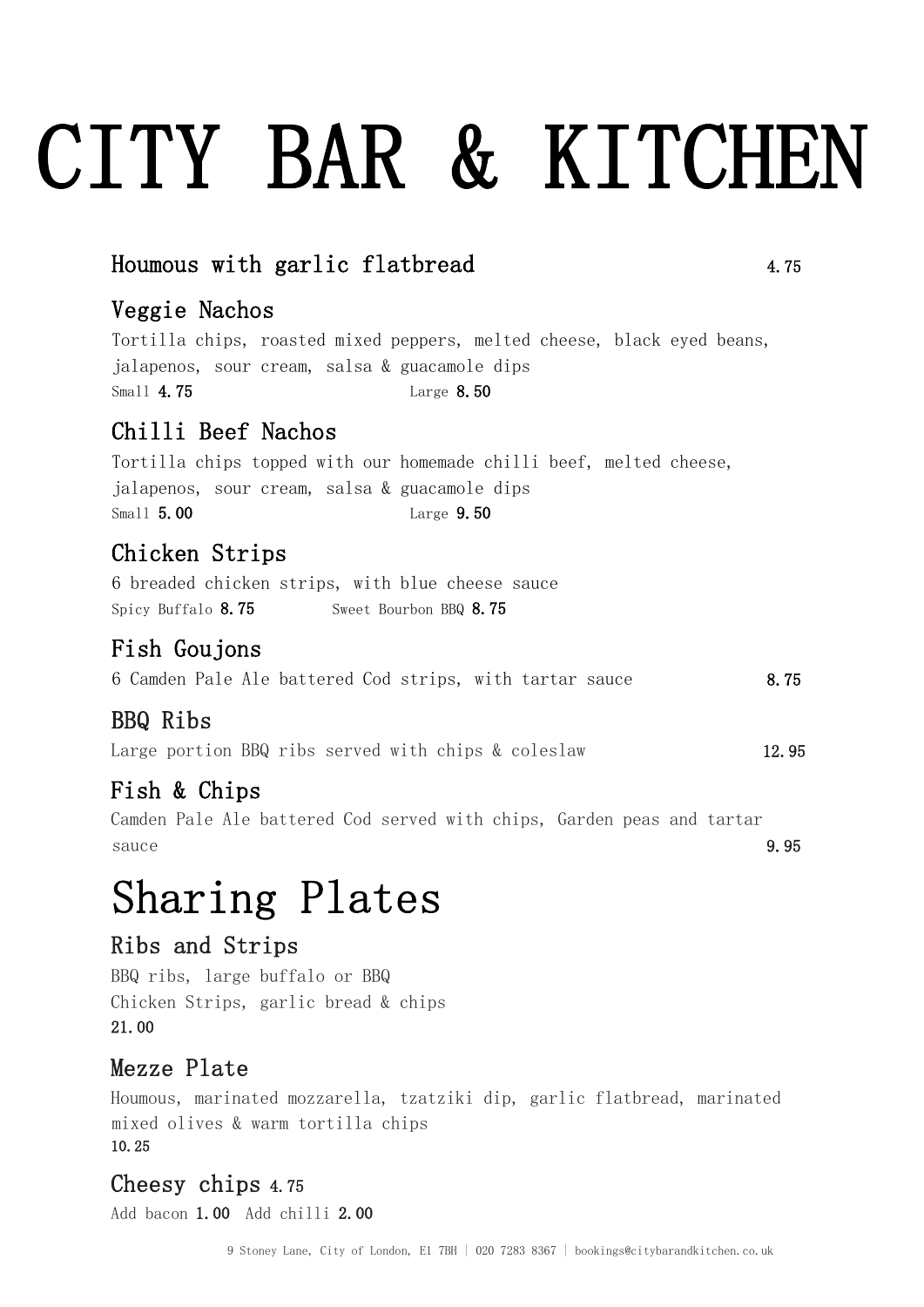# CITY BAR & KITCHEN

### $H$ oumous with garlic flatbread  $4.75$

### Veggie Nachos

Tortilla chips, roasted mixed peppers, melted cheese, black eyed beans, jalapenos, sour cream, salsa & guacamole dips Small 4.75 Large 8.50

### Chilli Beef Nachos

Tortilla chips topped with our homemade chilli beef, melted cheese, jalapenos, sour cream, salsa & guacamole dips Small 5.00 Large 9.50

### Chicken Strips

6 breaded chicken strips, with blue cheese sauce Spicy Buffalo 8.75 Sweet Bourbon BBQ 8.75

### Fish Goujons

| 6 Camden Pale Ale battered Cod strips, with tartar sauce |  | 8.75 |
|----------------------------------------------------------|--|------|
|----------------------------------------------------------|--|------|

### BBQ Ribs

Large portion BBQ ribs served with chips & coleslaw 12.95

### Fish & Chips

Camden Pale Ale battered Cod served with chips, Garden peas and tartar sauce 9.95

### Sharing Plates

#### Ribs and Strips

BBQ ribs, large buffalo or BBQ Chicken Strips, garlic bread & chips 21.00

### Mezze Plate

Houmous, marinated mozzarella, tzatziki dip, garlic flatbread, marinated mixed olives & warm tortilla chips 10.25

### Cheesy chips 4.75

Add bacon 1.00 Add chilli 2.00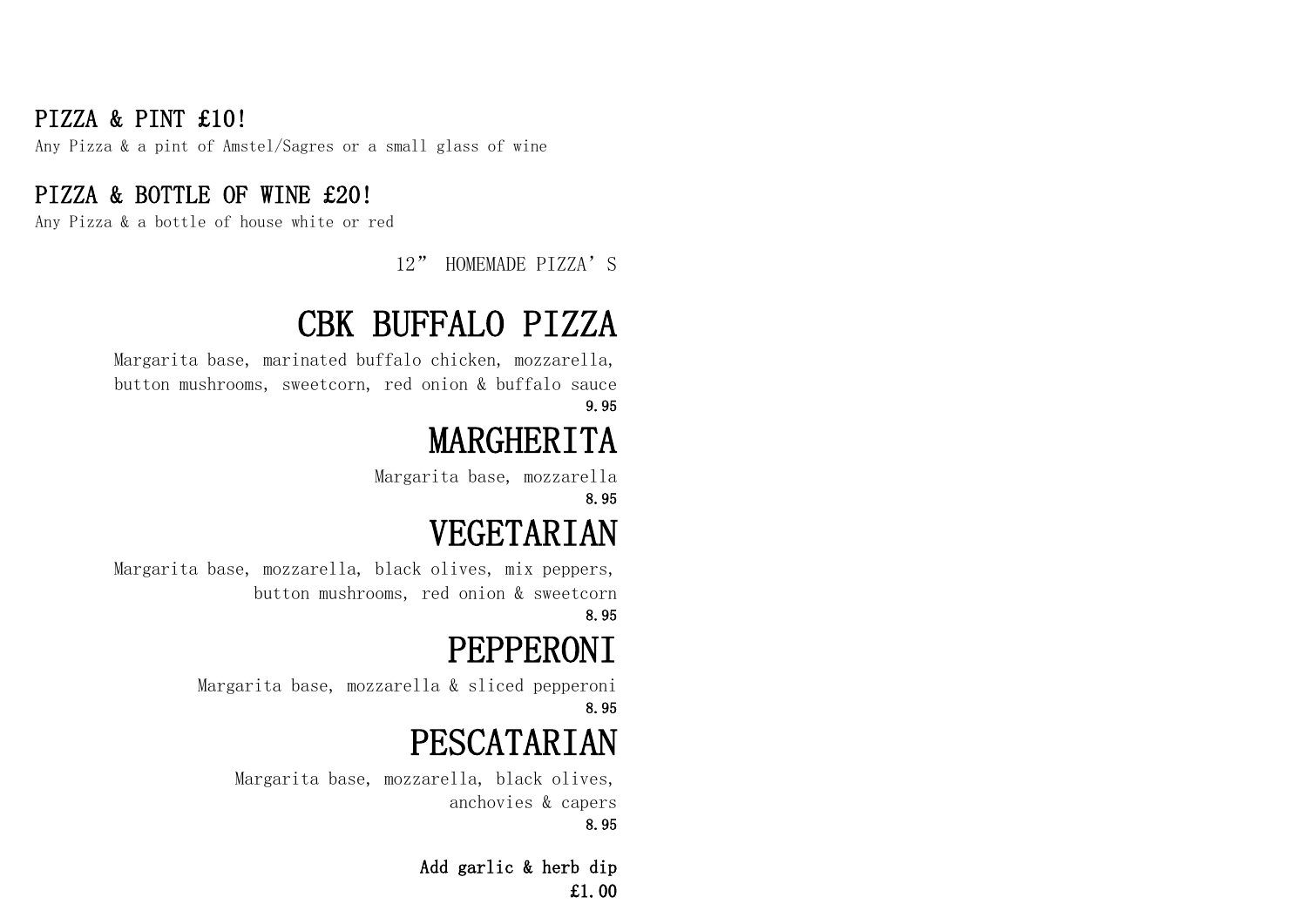### PIZZA & PINT £10!

Any Pizza & a pint of Amstel/Sagres or a small glass of wine

### PIZZA & BOTTLE OF WINE £20!

Any Pizza & a bottle of house white or red

### 12" HOMEMADE PIZZA'S

# CBK BUFFALO PIZZA

 Margarita base, marinated buffalo chicken, mozzarella, button mushrooms, sweetcorn, red onion & buffalo sauce 9.95

# MARGHERITA

Margarita base, mozzarella 8.95

# VEGETARIAN

Margarita base, mozzarella, black olives, mix peppers, button mushrooms, red onion & sweetcorn 8.95

# PEPPERONI

Margarita base, mozzarella & sliced pepperoni 8.95

# PESCATARIAN

Margarita base, mozzarella, black olives, anchovies & capers 8.95

> Add garlic & herb dip £1.00